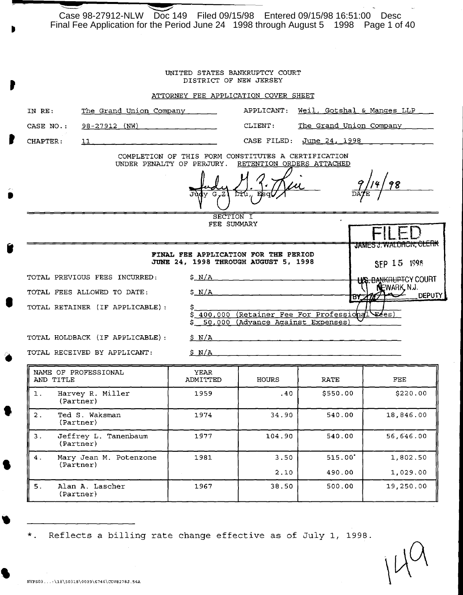Case 98-27912-NLW Doc 149 Filed 09/15/98 Entered 09/15/98 16:51:00 Desc Final Fee Application for the Period June 24 1998 through August 5 1998 Page 1 of 40

| UNITED STATES BANKRUPTCY COURT<br>DISTRICT OF NEW JERSEY |                                 |                                                                              |                                           |  |  |  |
|----------------------------------------------------------|---------------------------------|------------------------------------------------------------------------------|-------------------------------------------|--|--|--|
|                                                          |                                 | ATTORNEY FEE APPLICATION COVER SHEET                                         |                                           |  |  |  |
| IN RE:                                                   | The Grand Union Company         | APPLICANT:                                                                   | Weil, Gotshal & Manges LLP                |  |  |  |
| CASE NO.:                                                | 98-27912 (NW)                   | CLIENT:                                                                      | The Grand Union Company                   |  |  |  |
| CHAPTER:                                                 | 11                              | CASE FILED:                                                                  | June 24, 1998                             |  |  |  |
|                                                          | UNDER PENALTY OF PERJURY.       | COMPLETION OF THIS FORM CONSTITUTES A CERTIFICATION                          | RETENTION ORDERS ATTACHED                 |  |  |  |
|                                                          | 98<br>rru                       |                                                                              |                                           |  |  |  |
|                                                          |                                 | SECTION I<br>FEE SUMMARY                                                     |                                           |  |  |  |
|                                                          |                                 | FINAL FEE APPLICATION FOR THE PERIOD<br>JUNE 24. 1998 THROUGH AUGUST 5, 1998 | JAMES J. WALDRON, CLERK<br>SFP 15 1998    |  |  |  |
|                                                          | TOTAL PREVIOUS FEES INCURRED:   | $S_N/A$                                                                      | <b>BANKRUPTCY COURT</b>                   |  |  |  |
|                                                          | TOTAL FEES ALLOWED TO DATE:     | $S_N/A$                                                                      | NEWARK, N.J.<br><b>DEPUTY</b><br>18Y 2777 |  |  |  |
|                                                          | TOTAL RETAINER (IF APPLICABLE): | 400,000<br>50,000 (Advance Against Expenses)                                 | (Retainer Fee For Professional Fees)      |  |  |  |
|                                                          | TOTAL HOLDBACK (IF APPLICABLE): | S N/A                                                                        |                                           |  |  |  |
|                                                          | TOTAL RECEIVED BY APPLICANT:    | SN/A                                                                         |                                           |  |  |  |

|    | NAME OF PROFESSIONAL<br>AND TITLE   | YEAR<br>ADMITTED | HOURS        | RATE             | FEE                  |
|----|-------------------------------------|------------------|--------------|------------------|----------------------|
| 1. | Harvey R. Miller<br>(Partner)       | 1959             | .40          | \$550.00         | \$220.00             |
| 2. | Ted S. Waksman<br>$\{Partner\}$     | 1974             | 34.90        | 540.00           | 18,846.00            |
| з. | Jeffrey L. Tanenbaum<br>(Partner)   | 1977             | 104.90       | 540.00           | 56,646.00            |
| 4. | Mary Jean M. Potenzone<br>(Partner) | 1981             | 3.50<br>2.10 | 515.00<br>490.00 | 1,802.50<br>1,029,00 |
|    |                                     |                  |              |                  |                      |
| 5. | Alan A. Lascher<br>(Partner)        | 1967             | 38.50        | 500.00           | 19,250.00            |

\*. Reflects a billing rate change effective as of July 1, 1998.

•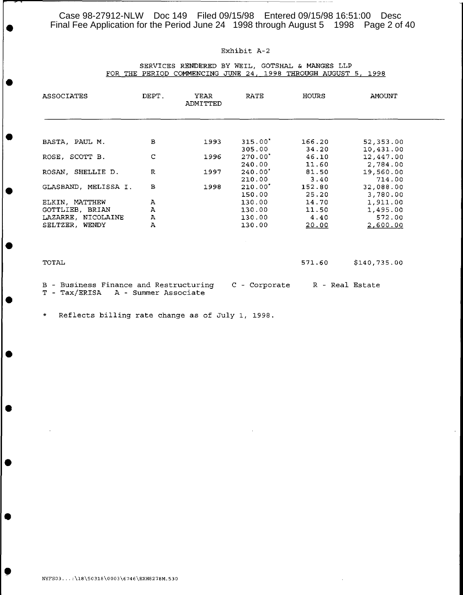Case 98-27912-NLW Doc 149 Filed 09/15/98 Entered 09/15/98 16:51:00 Desc<br>Final Fee Application for the Period June 24 1998 through August 5 1998 Page 2 of 40

## Exhibit A-2

#### SERVICES RENDERED BY WElL, GOTSHAL & MANGES LLP FOR THE PERIOD COMMENCING JUNE 24, 1998 THROUGH AUGUST 5, 1998

| <b>ASSOCIATES</b>                                       | DEPT.                | YEAR<br><b>ADMITTED</b> | <b>RATE</b>   | HOURS  | AMOUNT          |
|---------------------------------------------------------|----------------------|-------------------------|---------------|--------|-----------------|
|                                                         |                      |                         |               |        |                 |
| BASTA, PAUL M.                                          | в                    | 1993                    | 315.00"       | 166.20 | 52, 353.00      |
|                                                         |                      |                         | 305.00        | 34.20  | 10,431.00       |
| ROSE, SCOTT B.                                          | $\mathsf{C}$         | 1996                    | $270.00*$     | 46.10  | 12,447.00       |
|                                                         |                      |                         | 240.00        | 11.60  | 2,784.00        |
| ROSAN, SHELLIE D.                                       | $\mathbb{R}$         | 1997                    | 240.00'       | 81.50  | 19,560.00       |
|                                                         |                      |                         | 210.00        | 3.40   | 714.00          |
| GLASBAND, MELISSA I.                                    | в                    | 1998                    | 210.00'       | 152.80 | 32,088.00       |
|                                                         |                      |                         | 150.00        | 25.20  | 3,780.00        |
| ELKIN, MATTHEW                                          | Α                    |                         | 130.00        | 14.70  | 1,911.00        |
| GOTTLIEB, BRIAN                                         | Α                    |                         | 130.00        | 11.50  | 1,495.00        |
| LAZARRE, NICOLAINE                                      | А                    |                         | 130.00        | 4.40   | 572.00          |
| SELTZER, WENDY                                          | $\bf{A}$             |                         | 130.00        | 20.00  | 2,600.00        |
|                                                         |                      |                         |               |        |                 |
| TOTAL                                                   |                      |                         |               | 571.60 | \$140,735.00    |
| B - Business Finance and Restructuring<br>T - Tax/ERISA | A - Summer Associate |                         | C - Corporate |        | R - Real Estate |

\* Reflects billing rate change as of July 1, 1998.

•

•

•

•

•

•

•

•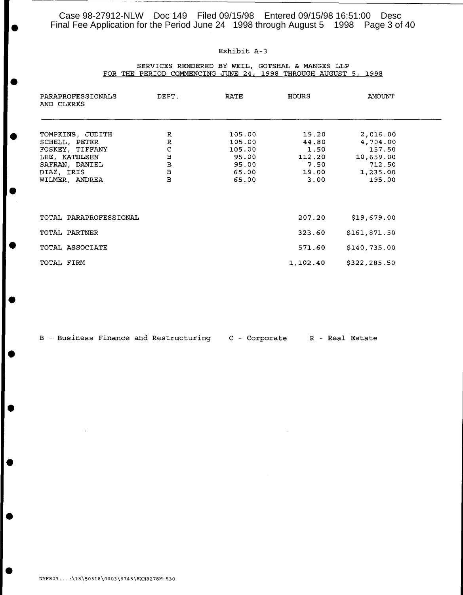Case 98-27912-NLW Doc 149 Filed 09/15/98 Entered 09/15/98 16:51:00 Desc<br>Final Fee Application for the Period June 24 1998 through August 5 1998 Page 3 of 40

## Exhibit A-3

-------~~~~~~~~~~~~~~~~~~----------------

#### SERVICES RENDERED BY WElL, GOTSHAL & MANGES LLP FOR THE PERIOD COMMENCING JUNE 24, 1998 THROUGH AUGUST 5, 1998

| PARAPROFESSIONALS<br>AND CLERKS                                                                                         | DEPT.<br>RATE                                                                           |                                                                | HOURS                                                     | AMOUNT                                                                      |  |
|-------------------------------------------------------------------------------------------------------------------------|-----------------------------------------------------------------------------------------|----------------------------------------------------------------|-----------------------------------------------------------|-----------------------------------------------------------------------------|--|
| TOMPKINS, JUDITH<br>SCHELL, PETER<br>FOSKEY, TIFFANY<br>LEE, KATHLEEN<br>SAFRAN, DANIEL<br>DIAZ, IRIS<br>WILMER, ANDREA | R<br>${\mathbb R}$<br>C<br>$\, {\bf B}$<br>$\, {\bf B}$<br>$\, {\bf B}$<br>$\mathbf{B}$ | 105.00<br>105.00<br>105.00<br>95.00<br>95.00<br>65.00<br>65.00 | 19.20<br>44.80<br>1.50<br>112.20<br>7.50<br>19.00<br>3.00 | 2,016.00<br>4,704.00<br>157.50<br>10,659.00<br>712.50<br>1,235.00<br>195.00 |  |
| TOTAL PARAPROFESSIONAL<br>TOTAL PARTNER                                                                                 |                                                                                         |                                                                | 207.20<br>323.60                                          | \$19,679.00<br>\$161,871.50                                                 |  |
| TOTAL ASSOCIATE<br>TOTAL FIRM                                                                                           |                                                                                         |                                                                | 571.60<br>1,102.40                                        | \$140,735.00<br>\$322,285.50                                                |  |

|  |  | B - Business Finance and Restructuring |  | C - Corporate |  | R - Real Estate |
|--|--|----------------------------------------|--|---------------|--|-----------------|
|  |  |                                        |  |               |  |                 |

•

•

•

•

•

•

•

•

•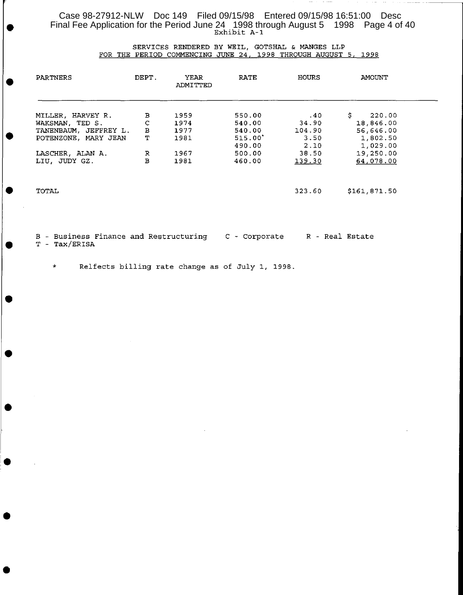Case 98-27912-NLW Doc 149 Filed 09/15/98 Entered 09/15/98 16:51:00 Desc<br>Final Fee Application for the Period June 24 1998 through August 5 1998 Page 4 of 40<br>Exhibit A-1 Exhibit A-1

#### SERVICES RENDERED BY WElL, GOTSHAL & MANGES LLP FOR THE PERIOD COMMENCING JUNE 24, 199B THROUGH AUGUST 5, 199B

| <b>PARTNERS</b>                                                                       | DEPT.                       | YEAR<br>ADMITTED             | <b>RATE</b>                             | <b>HOURS</b>                   | AMOUNT                                             |  |
|---------------------------------------------------------------------------------------|-----------------------------|------------------------------|-----------------------------------------|--------------------------------|----------------------------------------------------|--|
| MILLER, HARVEY R.<br>WAKSMAN, TED S.<br>TANENBAUM, JEFFREY L.<br>POTENZONE, MARY JEAN | в<br>с<br>$\mathbf{B}$<br>т | 1959<br>1974<br>1977<br>1981 | 550.00<br>540.00<br>540.00<br>$515.00*$ | .40<br>34.90<br>104.90<br>3.50 | S.<br>220.00<br>18,846.00<br>56,646.00<br>1,802.50 |  |
| LASCHER, ALAN A.<br>LIU, JUDY GZ.                                                     | R<br>B                      | 1967<br>1981                 | 490.00<br>500.00<br>460.00              | 2.10<br>38.50<br>139.30        | 1,029.00<br>19,250.00<br>64,078.00                 |  |
| TOTAL                                                                                 |                             |                              |                                         | 323.60                         | \$161,871.50                                       |  |
|                                                                                       |                             |                              |                                         |                                |                                                    |  |

B - Business Finance and Restructuring C - Corporate R - Real Estate T - Tax/ERISA

\* Relfects billing rate change as of July 1, 199B.

•

•

•

•

•

•

•

•

•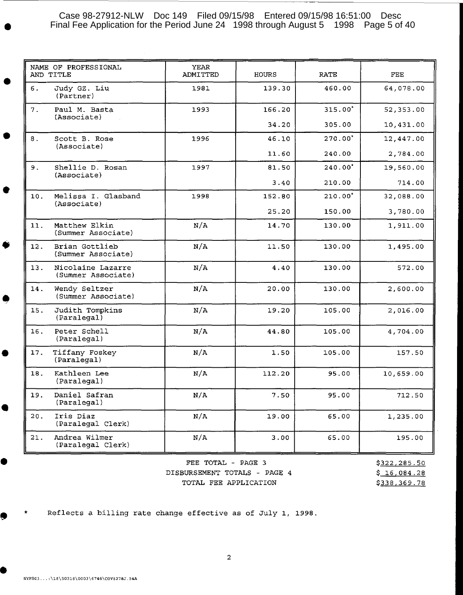# Case 98-27912-NLW Doc 149 Filed 09/15/98 Entered 09/15/98 16:51:00 Desc<br>Final Fee Application for the Period June 24 1998 through August 5 1998 Page 5 of 40

| ADMITTED | HOURS  | <b>RATE</b> | FEE       |
|----------|--------|-------------|-----------|
| 1981     | 139.30 | 460.00      | 64,078.00 |
| 1993     | 166.20 | 315.00*     | 52,353.00 |
|          | 34.20  | 305.00      | 10,431.00 |
| 1996     | 46.10  | 270.00*     | 12,447.00 |
|          | 11.60  | 240.00      | 2,784.00  |
| 1997     | 81.50  | 240.00'     | 19,560.00 |
|          | 3.40   | 210.00      | 714.00    |
| 1998     | 152.80 | $210.00*$   | 32,088.00 |
|          | 25.20  | 150.00      | 3,780.00  |
| N/A      | 14.70  | 130.00      | 1,911.00  |
| N/A      | 11.50  | 130.00      | 1,495.00  |
| N/A      | 4.40   | 130.00      | 572.00    |
| N/A      | 20.00  | 130.00      | 2,600.00  |
| N/A      | 19.20  | 105.00      | 2,016.00  |
| N/A      | 44.80  | 105.00      | 4,704.00  |
| N/A      | 1.50   | 105.00      | 157.50    |
| N/A      | 112.20 | 95.00       | 10,659.00 |
| N/A      | 7.50   | 95.00       | 712.50    |
| N/A      | 19.00  | 65.00       | 1,235.00  |
| N/A      | 3.00   | 65.00       | 195.00    |
|          |        |             |           |

FEE TOTAL - PAGE 3 DISBURSEMENT TOTALS - PAGE 4 TOTAL FEE APPLICATION

\$322,285.50 \$ 16,084.28 \$338,369.78

Reflects a billing rate change effective as of July 1, 1998.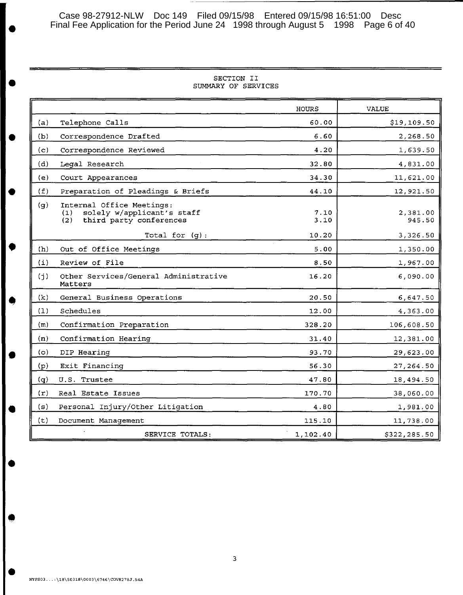Case 98-27912-NLW Doc 149 Filed 09/15/98 Entered 09/15/98 16:51:00 Desc<br>Final Fee Application for the Period June 24 1998 through August 5 1998 Page 6 of 40

|  | SECTION II          |
|--|---------------------|
|  | SUMMARY OF SERVICES |

| SECTION II<br>SUMMARY OF SERVICES                                                                       |              |                    |  |  |
|---------------------------------------------------------------------------------------------------------|--------------|--------------------|--|--|
|                                                                                                         | <b>HOURS</b> | <b>VALUE</b>       |  |  |
| Telephone Calls<br>(a)                                                                                  | 60.00        | \$19,109.50        |  |  |
| Correspondence Drafted<br>(b)                                                                           | 6.60         | 2,268.50           |  |  |
| (c)<br>Correspondence Reviewed                                                                          | 4.20         | 1,639.50           |  |  |
| (d)<br>Legal Research                                                                                   | 32.80        | 4,831.00           |  |  |
| (e)<br>Court Appearances                                                                                | 34.30        | 11,621.00          |  |  |
| Preparation of Pleadings & Briefs<br>(f)                                                                | 44.10        | 12,921.50          |  |  |
| (g)<br>Internal Office Meetings:<br>solely w/applicant's staff<br>(1)<br>third party conferences<br>(2) | 7.10<br>3.10 | 2,381.00<br>945.50 |  |  |
| Total for $(g)$ :                                                                                       | 10.20        | 3,326.50           |  |  |
| Out of Office Meetings<br>(h)                                                                           | 5.00         | 1,350.00           |  |  |
| $\left( \pm \right)$<br>Review of File                                                                  | 8.50         | 1,967.00           |  |  |
| Other Services/General Administrative<br>(j)<br>Matters                                                 | 16.20        | 6,090.00           |  |  |
| (k)<br>General Business Operations                                                                      | 20.50        | 6,647.50           |  |  |
| Schedules<br>(1)                                                                                        | 12.00        | 4,363.00           |  |  |
| Confirmation Preparation<br>(m)                                                                         | 328.20       | 106,608.50         |  |  |
| Confirmation Hearing<br>(n)                                                                             | 31.40        | 12,381.00          |  |  |
| (o)<br>DIP Hearing                                                                                      | 93.70        | 29,623.00          |  |  |
| Exit Financing<br>(p)                                                                                   | 56.30        | 27, 264.50         |  |  |
| U.S. Trustee<br>(q)                                                                                     | 47.80        | 18,494.50          |  |  |
| (r)<br>Real Estate Issues                                                                               | 170.70       | 38,060.00          |  |  |
| (s)<br>Personal Injury/Other Litigation                                                                 | 4.80         | 1,981.00           |  |  |
| (t)<br>Document Management                                                                              | 115.10       | 11,738.00          |  |  |
| SERVICE TOTALS:                                                                                         | 1,102.40     | \$322,285.50       |  |  |

•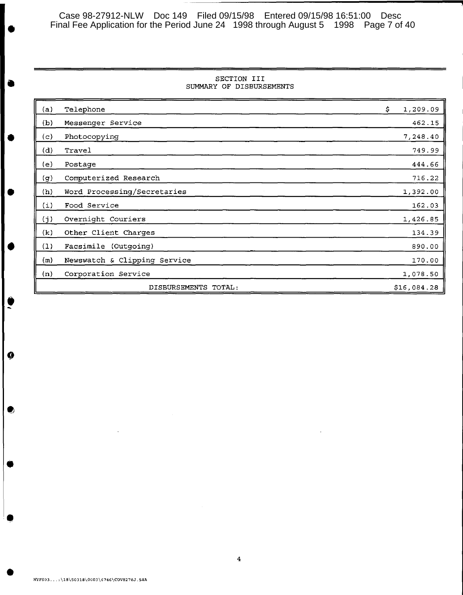Case 98-27912-NLW Doc 149 Filed 09/15/98 Entered 09/15/98 16:51:00 Desc Final Fee Application for the Period June 24 1998 through August 5 1998 Page 7 of 40 **j** 

#### SECTION III SUMMARY OF DISBURSEMENTS

| (a) | Telephone                      | \$<br>1,209.09 |
|-----|--------------------------------|----------------|
| (b) | Messenger Service              | 462.15         |
| (c) | Photocopying                   | 7,248.40       |
| (d) | Travel                         | 749.99         |
| (e) | Postage                        | 444.66         |
| (g) | Computerized Research          | 716.22         |
| (h) | Word Processing/Secretaries    | 1,392.00       |
| (i) | Food Service                   | 162.03         |
| (j) | Overnight Couriers             | 1,426.85       |
| (k) | Other Client Charges           | 134.39         |
| (1) | Facsimile (Outgoing)           | 890.00         |
| (m) | Newswatch & Clipping Service   | 170.00         |
| (n) | Corporation Service            | 1,078.50       |
|     | <b>DISBURSEMENTS</b><br>TOTAL: | \$16,084.28    |

•

•

•

•

•<br>•<br>•

 $\boldsymbol{Q}$ 

 $\bullet$ 

•

•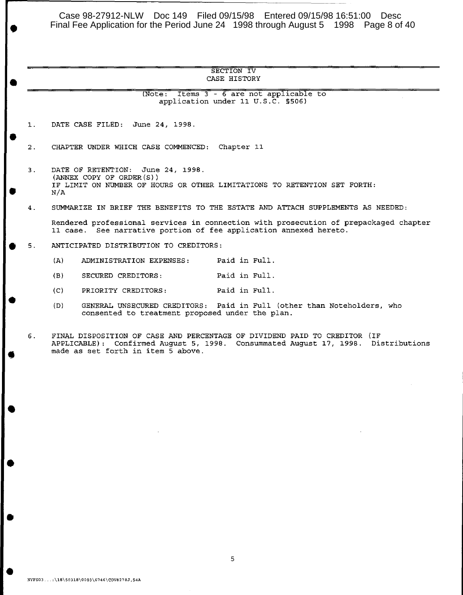Case 98-27912-NLW Doc 149 Filed 09/15/98 Entered 09/15/98 16:51:00 Desc Final Fee Application for the Period June 24 1998 through August 5 1998 Page 8 of 40 •

#### SECTION IV CASE HISTORY

 $(Note: Items 3 - 6 are not applicable to$ application under II U.S.C. §506)

l. DATE CASE FILED: June 24, 1998.

•

•

•

•

•

•

•

•

2. CHAPTER UNDER WHICH CASE COMMENCED: Chapter II

• 3. DATE OF RETENTION: June 24, 1998. (ANNEX COPY OF ORDER(S)) IF LIMIT ON NUMBER OF HOURS OR OTHER LIMITATIONS TO RETENTION SET FORTH: N/A

4. SUMMARIZE IN BRIEF THE BENEFITS TO THE ESTATE AND ATTACH SUPPLEMENTS AS NEEDED:

Rendered professional services in connection with prosecution of prepackaged chapter II case. See narrative portion of fee application annexed hereto.

• 5. ANTICIPATED DISTRIBUTION TO CREDITORS:

- (A) ADMINISTRATION EXPENSES: Paid in Full.
- (B) SECURED CREDITORS: Paid in Full.
- (C) PRIORITY CREDITORS: Paid in Full.
- (D) GENERAL UNSECURED CREDITORS: Paid in Full (other than Noteholders, who consented to treatment proposed under the plan.

6. FINAL DISPOSITION OF CASE AND PERCENTAGE OF DIVIDEND PAID TO CREDITOR (IF APPLICABLE): Confirmed August 5, 1998. Consummated August l7, 1998. Distributions made as set forth in item 5 above.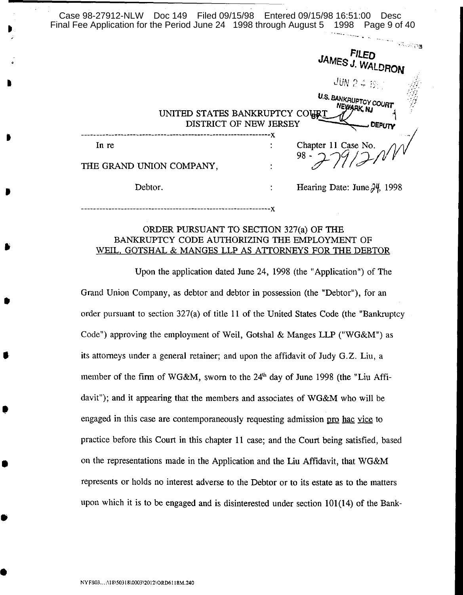| Case 98-27912-NLW Doc 149 Filed 09/15/98 Entered 09/15/98 16:51:00 Desc<br>Final Fee Application for the Period June 24 1998 through August 5 1998 Page 9 of 40 |                                                      |
|-----------------------------------------------------------------------------------------------------------------------------------------------------------------|------------------------------------------------------|
|                                                                                                                                                                 | <b>FILED</b><br>JAMES J. WALDRON                     |
|                                                                                                                                                                 | $JUN \gtrsim 4 \lesssim 100 \, \mathrm{J}$           |
| UNITED STATES BANKRUPTCY COURT<br>DISTRICT OF NEW JERSEY                                                                                                        | U.S. BANKRUPTCY COURT<br>NEWARK, NJ<br><b>DEPUTY</b> |
| In re                                                                                                                                                           | Chapter 11 Case No.<br>$98 -$                        |
| THE GRAND UNION COMPANY,                                                                                                                                        |                                                      |
| Debtor.                                                                                                                                                         | Hearing Date: June $\frac{34}{1998}$                 |
|                                                                                                                                                                 |                                                      |

# ORDER PURSUANT TO SECTION 327(a) OF THE BANKRUPTCY CODE AUTHORIZING THE EMPLOYMENT OF WElL, GOTSHAL & MANGES LLP AS ATTORNEYS FOR THE DEBTOR

Upon the application dated June 24, 1998 (the" Application") of The Grand Union Company, as debtor and debtor in possession (the "Debtor"), for an order pursuant to section 327(a) of title 11 of the United States Code (the "Bankruptcy Code") approving the employment of Weil, Gotshal & Manges LLP ("WG&M") as its attorneys under a general retainer; and upon the affidavit of Judy G.Z. Liu, a member of the firm of WG&M, sworn to the 24<sup>th</sup> day of June 1998 (the "Liu Affidavit"); and it appearing that the members and associates of WG&M who will be engaged in this case are contemporaneously requesting admission pro hac vice to practice before this Court in this chapter 11 case; and the Court being satisfied, based on the representations made in the Application and the Liu Affidavit, that WG&M represents or holds no interest adverse to the Debtor or to its estate as to the matters upon which it is to be engaged and is disinterested under section 101(14) of the Bank-

•

•

,

•

•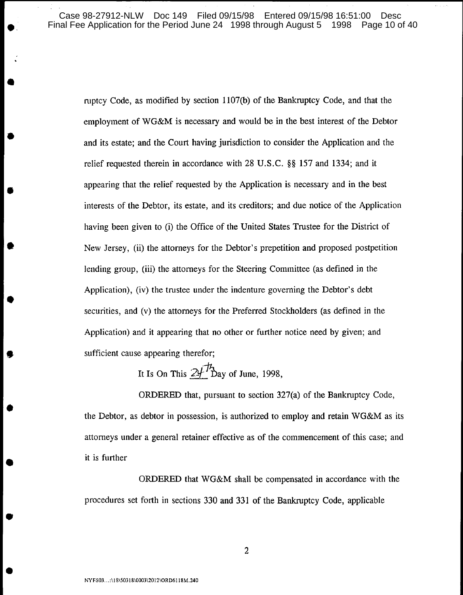Case 98-27912-NLW Doc 149 Filed 09/15/98 Entered 09/15/98 16:51:00 Desc<br>hal Fee Application for the Period June 24 1998 through August 5 1998 Page 10 of 40 Final Fee Application for the Period June 24 1998 through August 5 1998

mptcy Code, as modified by section l107(b) of the Bankruptcy Code, and that the employment of WG&M is necessary and would be in the best interest of the Debtor • and its estate; and the Court having jurisdiction to consider the Application and the relief requested therein in accordance with 28 U.S.C. §§ 157 and 1334; and it • appearing that the relief requested by the Application is necessary and in the best interests of the Debtor, its estate, and its creditors; and due notice of the Application having been given to (i) the Office of the United States Trustee for the District of New Jersey, (ii) the attorneys for the Debtor's prepetition and proposed postpetition lending group, (iii) the attorneys for the Steering Committee (as defined in the Application), (iv) the tmstee under the indenture governing the Debtor's debt securities, and (v) the attorneys for the Preferred Stockholders (as defined in the Application) and it appearing that no other or further notice need by given; and sufficient cause appearing therefor;

It Is On This  $24\pi$  Day of June, 1998,

ORDERED that, pursuant to section 327(a) of the Bankruptcy Code, • the Debtor, as debtor in possession, is authorized to employ and retain WG&M as its attorneys under a general retainer effective as of the commencement of this case; and it is further

ORDERED that WG&M shall be compensated in accordance with the procedures set forth in sections 330 and 331 of the Bankruptcy Code, applicable

•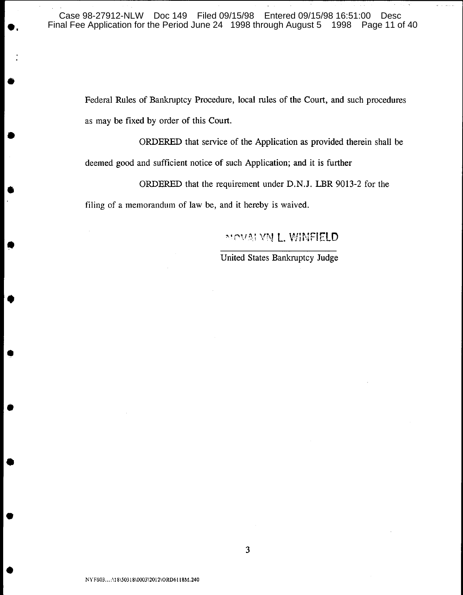Federal Rules of Bankruptcy Procedure, local rules of the Court, and such procedures as may be fixed by order of this Court.

• ORDERED that service of the Application as provided therein shall be deemed good and sufficient notice of such Application; and it is further

• ORDERED that the requirement under D.N.J. LBR 9013-2 for the

filing of a memorandum of law be, and it hereby is waived.

•

•

•

•

•

•

# "" " " " " NU L. WINFIELD

United States Bankruptcy Judge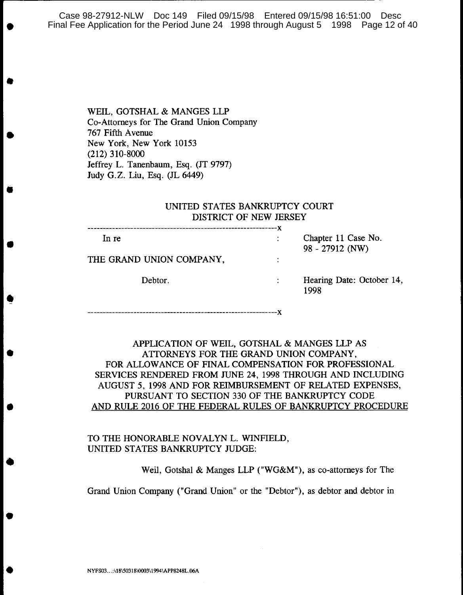Case 98-27912-NLW Doc 149 Filed 09/15/98 Entered 09/15/98 16:51:00 Desc Final Fee Application for the Period June 24 1998 through August 5 1998 Page 12 of 40

> WElL, GOTSHAL & MANGES LLP Co-Attorneys for The Grand Union Company 767 Fifth Avenue New York, New York 10153 (212) 310-8000 Jeffrey L. Tanenbaum, Esq. (IT 9797) Judy G.Z. Liu, Esq. (JL 6449)

•

•

•

•

•

•

•

•

•

•

# UNITED STATES BANKRUPTCY COURT DISTRICT OF NEW JERSEY

| In re                    | Chapter 11 Case No.<br>$98 - 27912$ (NW) |
|--------------------------|------------------------------------------|
| THE GRAND UNION COMPANY, |                                          |
| Debtor.                  | Hearing Date: October 14,<br>1998        |

--------------------------------------------------------------x

APPUCATION OF WElL, GOTSHAL & MANGES LLP AS ATTORNEYS FOR THE GRAND UNION COMPANY, FOR ALLOWANCE OF FINAL COMPENSATION FOR PROFESSIONAL SERVICES RENDERED FROM JUNE 24, 1998 THROUGH AND INCLUDING AUGUST 5,1998 AND FOR REIMBURSEMENT OF RELATED EXPENSES, PURSUANT TO SECTION 330 OF THE BANKRUPTCY CODE AND RULE 2016 OF THE FEDERAL RULES OF BANKRUPTCY PROCEDURE

# TO THE HONORABLE NOVALYN L. WINFIELD, UNITED STATES BANKRUPTCY JUDGE:

Weil, Gotshal & Manges LLP ("WG&M"), as co-attorneys for The

Grand Union Company ("Grand Union" or the "Debtor"), as debtor and debtor in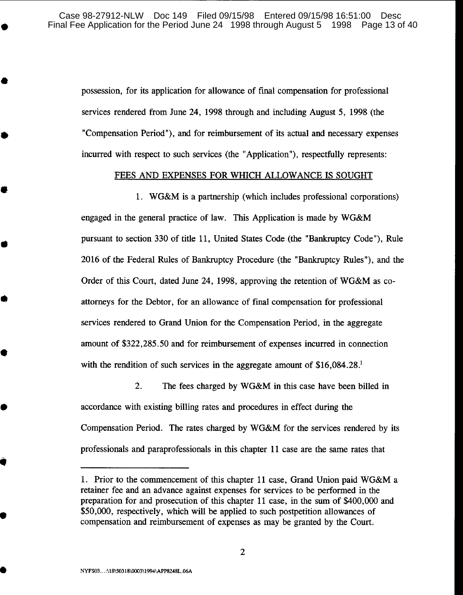possession, for its application for allowance of final compensation for professional services rendered from June 24, 1998 through and including August 5, 1998 (the "Compensation Period"), and for reimbursement of its actual and necessary expenses incurred with respect to such services (the "Application"), respectfully represents:

# FEES AND EXPENSES FOR WHICH ALLOWANCE IS SOUGHT

1. WG&M is a partnership (which includes professional corporations) engaged in the general practice of law. This Application is made by WG&M pursuant to section 330 of title 11, United States Code (the "Bankruptcy Code"), Rule 2016 of the Federal Rules of Bankruptcy Procedure (the "Bankruptcy Rules"), and the Order of this Court, dated June 24, 1998, approving the retention of WG&M as coattorneys for the Debtor, for an allowance of final compensation for professional services rendered to Grand Union for the Compensation Period, in the aggregate amount of \$322,285.50 and for reimbursement of expenses incurred in connection with the rendition of such services in the aggregate amount of  $$16,084.28$ <sup>1</sup>

2. The fees charged by WG&M in this case have been billed in accordance with existing billing rates and procedures in effect during the Compensation Period. The rates charged by WG&M for the services rendered by its professionals and paraprofessionals in this chapter 11 case are the same rates that

•

•

•

•

•

•

•

•

•

<sup>1.</sup> Prior to the commencement of this chapter 11 case, Grand Union paid WG&M a retainer fee and an advance against expenses for services to be performed in the preparation for and prosecution of this chapter 11 case, in the sum of \$400,000 and \$50,000, respectively, which will be applied to such postpetition allowances of compensation and reimbursement of expenses as may be granted by the Court.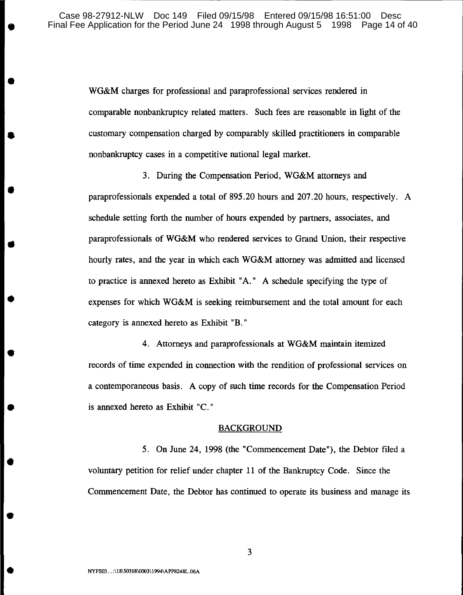<sup>~</sup>-------------------------------------,

WG&M charges for professional and paraprofessional services rendered in comparable nonbankruptcy related matters. Such fees are reasonable in light of the customary compensation charged by comparably skilled practitioners in comparable nonbankruptcy cases in a competitive national legal market.

3. During the Compensation Period, WG&M attorneys and paraprofessionals expended a total of 895.20 hours and 207.20 hours, respectively. A schedule setting forth the number of hours expended by partners, associates, and paraprofessionals of WG&M who rendered services to Grand Union, their respective hourly rates, and the year in which each WG&M attorney was admitted and licensed to practice is annexed hereto as Exhibit "A." A schedule specifying the type of expenses for which WG&M is seeking reimbursement and the total amount for each category is annexed hereto as Exhibit "B."

4. Attorneys and paraprofessionals at WG&M maintain itemized records of time expended in connection with the rendition of professional services on a contemporaneous basis. A copy of such time records for the Compensation Period is annexed hereto as Exhibit "C."

#### BACKGROUND

5. On June 24, 1998 (the "Commencement Date"), the Debtor filed a voluntary petition for relief under chapter **11** of the Bankruptcy Code. Since the Commencement Date, the Debtor has continued to operate its business and manage its

•

•

•

•

•

•

•

•

•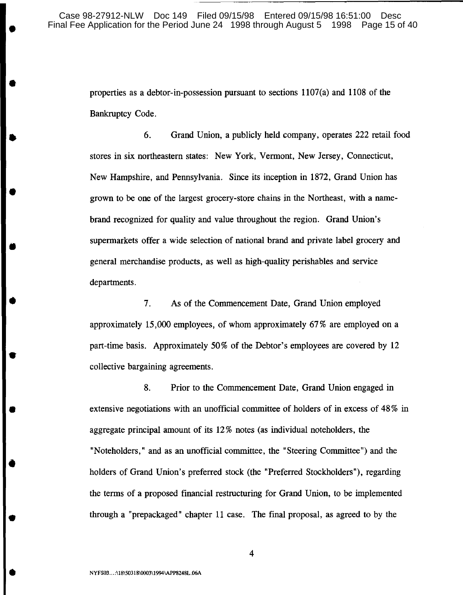properties as a debtor-in-possession pursuant to sections 1107(a) and 1108 of the Bankruptcy Code.

6. Grand Union, a publicly held company, operates 222 retail food stores in six northeastern states: New York, Vermont, New Jersey, Connecticut, New Hampshire, and Pennsylvania. Since its inception in 1872, Grand Union has grown to be one of the largest grocery-store chains in the Northeast, with a namebrand recognized for quality and value throughout the region. Grand Union's supermarkets offer a wide selection of national brand and private label grocery and general merchandise products, as well as high-quality perishables and service departments.

7. As of the Commencement Date, Grand Union employed approximately 15,000 employees, of whom approximately 67% are employed on a part-time basis. Approximately 50% of the Debtor's employees are covered by 12 collective bargaining agreements.

8. Prior to the Commencement Date, Grand Union engaged in extensive negotiations with an unofficial committee of holders of in excess of  $48\%$  in aggregate principal amount of its 12 % notes (as individual noteholders, the "Noteholders," and as an unofficial committee, the "Steering Committee") and the holders of Grand Union's preferred stock (the "Preferred Stockholders"), regarding the terms of a proposed financial restructuring for Grand Union, to be implemented through a "prepackaged" chapter 11 case. The final proposal, as agreed to by the

•

•

•

•

•

•

•

•

•

•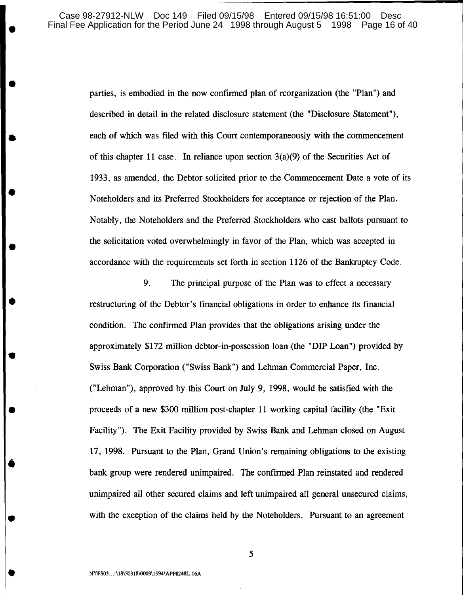Case 98-27912-NLW Doc 149 Filed 09/15/98 Entered 09/15/98 16:51:00 Desc<br>hal Fee Application for the Period June 24 1998 through August 5 1998 Page 16 of 40 Final Fee Application for the Period June 24 1998 through August 5 1998

> parties, is embodied in the now confirmed plan of reorganization (the "Plan") and described in detail in the related disclosure statement (the "Disclosure Statement"), each of which was filed with this Court contemporaneously with the commencement of this chapter 11 case. In reliance upon section  $3(a)(9)$  of the Securities Act of 1933, as amended, the Debtor solicited prior to the Commencement Date a vote of its Noteholders and its Preferred Stockholders for acceptance or rejection of the Plan. Notably, the Noteholders and the Preferred Stockholders who cast ballots pursuant to the solicitation voted overwhelmingly in favor of the Plan, which was accepted in accordance with the requirements set forth in section 1126 of the Bankruptcy Code.

9. The principal purpose of the Plan was to effect a necessary restructuring of the Debtor's financial obligations in order to enhance its fmancial condition. The confirmed Plan provides that the obligations arising under the approximately \$172 million debtor-in-possession loan (the "DIP Loan") provided by Swiss Bank Corporation ("Swiss Bank") and Lehman Commercial Paper, Inc. ("Lehman"), approved by this Court on July 9, 1998, would be satisfied with the proceeds of a new \$300 million post-chapter 11 working capital facility (the "Exit Facility"). The Exit Facility provided by Swiss Bank and Lehman closed on August 17, 1998. Pursuant to the Plan, Grand Union's remaining obligations to the existing bank group were rendered unimpaired. The confirmed Plan reinstated and rendered unimpaired all other secured claims and left unimpaired all general unsecured claims, with the exception of the claims held by the Noteholders. Pursuant to an agreement

•

•

•

•

•

•

•

•

•

•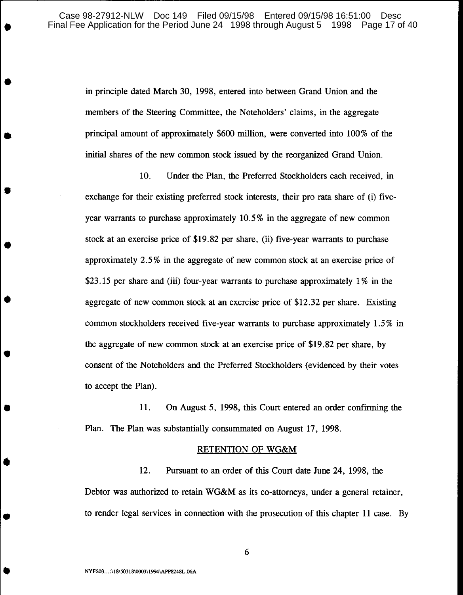in principle dated March 30, 1998, entered into between Grand Union and the members of the Steering Committee, the Noteholders' claims, in the aggregate principal amount of approximately  $$600$  million, were converted into  $100\%$  of the initial shares of the new common stock issued by the reorganized Grand Union.

10. Under the Plan, the Preferred Stockholders each received, in exchange for their existing preferred stock interests, their pro rata share of (i) fiveyear warrants to purchase approximately 10.5% in the aggregate of new common stock at an exercise price of \$19.82 per share, (ii) five-year warrants to purchase approximately 2.5 % in the aggregate of new common stock at an exercise price of \$23.15 per share and (iii) four-year warrants to purchase approximately 1% in the aggregate of new common stock at an exercise price of \$12.32 per share. Existing common stockholders received five-year warrants to purchase approximately 1.5% in the aggregate of new common stock at an exercise price of \$19.82 per share, by consent of the Noteholders and the Preferred Stockholders (evidenced by their votes to accept the Plan).

11. On August 5, 1998, this Court entered an order confirming the Plan. The Plan was substantially consummated on August 17, 1998.

#### RETENTION OF WG&M

12. Pursuant to an order of this Court date June 24, 1998, the Debtor was authorized to retain WG&M as its co-attorneys, under a general retainer, to render legal services in connection with the prosecution of this chapter 11 case. By

•

•

•

•

•

•

•

•

•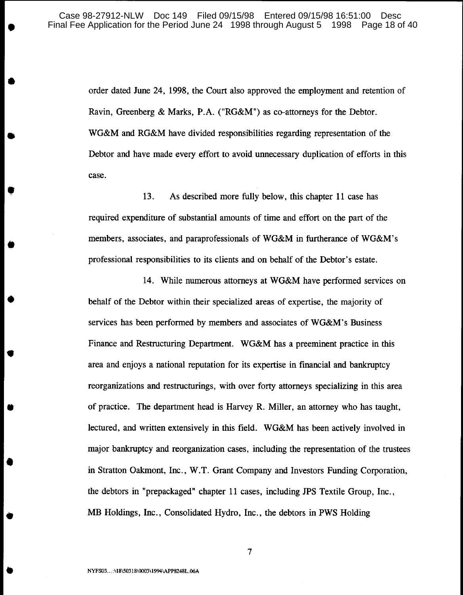order dated June 24, 1998, the Court also approved the employment and retention of Ravin, Greenberg & Marks, P.A. ("RG&M") as co-attorneys for the Debtor. WG&M and RG&M have divided responsibilities regarding representation of the Debtor and have made every effort to avoid unnecessary duplication of efforts in this case.

13. As described more fully below, this chapter 11 case has required expenditure of substantial amounts of time and effort on the part of the members, associates, and paraprofessionals of WG&M in furtherance of WG&M's professional responsibilities to its clients and on behalf of the Debtor's estate.

14. While numerous attorneys at WG&M have performed services on behalf of the Debtor within their specialized areas of expertise, the majority of services has been performed by members and associates of WG&M's Business Finance and Restructuring Department. WG&M has a preeminent practice in this area and enjoys a national reputation for its expertise in financial and bankruptcy reorganizations and restructurings, with over forty attorneys specializing in this area of practice. The department head is Harvey R. Miller, an attorney who has taught, lectured, and written extensively in this field. WG&M has been actively involved in major bankruptcy and reorganization cases, including the representation of the trustees in Stratton Oakmont, Inc., W. T. Grant Company and Investors Funding Corporation, the debtors in "prepackaged" chapter 11 cases, including JPS Textile Group, Inc., MB Holdings, Inc., Consolidated Hydro, Inc., the debtors in PWS Holding

•

•

•

•

•

•

•

•

•

•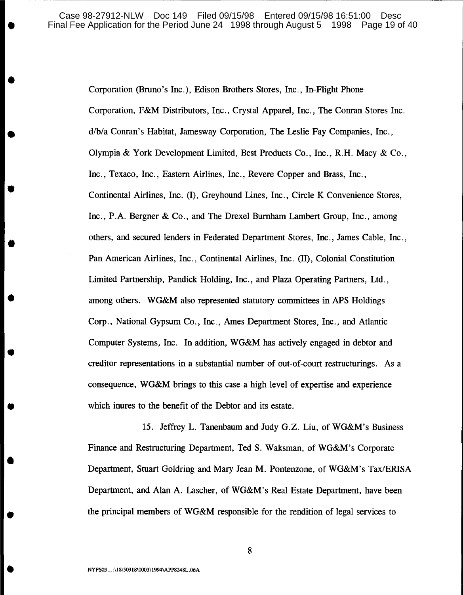Corporation (Bruno's Inc.), Edison Brothers Stores, Inc., In-Flight Phone Corporation, F&M Distributors, Inc., Crystal Apparel, Inc., The Conran Stores Inc. d/b/a Conran's Habitat, Jamesway Corporation, The Leslie Fay Companies, Inc., Olympia & York Development Limited, Best Products Co., Inc., R.H. Macy & Co., Inc., Texaco, Inc., Eastern Airlines, Inc., Revere Copper and Brass, Inc., Continental Airlines, Inc. (I), Greyhound Lines, Inc., Circle K Convenience Stores, Inc., P.A. Bergner & Co., and The Drexel Burnham Lambert Group, Inc., among others, and secured lenders in Federated Department Stores, Inc., James Cable, Inc., Pan American Airlines, Inc., Continental Airlines, Inc. (II), Colonial Constitution Limited Partnership, Pandick Holding, Inc., and Plaza Operating Partners, Ltd., among others. WG&M also represented statutory committees in APS Holdings Corp., National Gypsum Co., Inc., Ames Department Stores, Inc., and Atlantic Computer Systems, Inc. In addition, WG&M has actively engaged in debtor and creditor representations in a substantial number of out-of-court restructurings. As a consequence, WG&M brings to this case a high level of expertise and experience which inures to the benefit of the Debtor and its estate.

15. Jeffrey L. Tanenbaum and Judy G.Z. Liu, of WG&M's Business Finance and Restructuring Department, Ted S. Waksman, of WG&M's Corporate Department, Stuart Goldring and Mary Jean M. Pontenzone, of WG&M's Tax/ERISA Department, and Alan A. Lascher, of WG&M's Real Estate Department, have been the principal members of WG&M responsible for the rendition of legal services to

•

•

•

•

•

•

•

•

•

•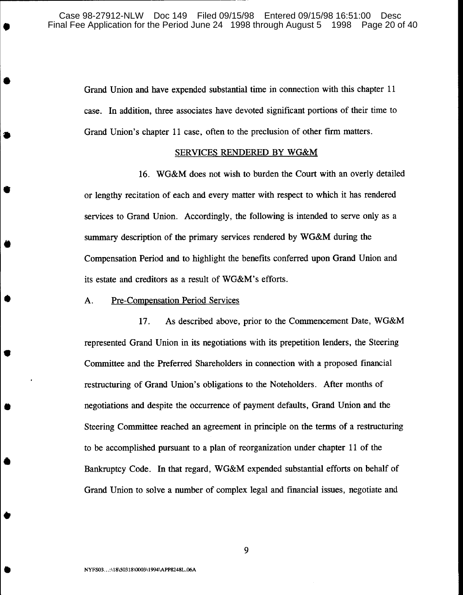Grand Union and have expended substantial time in connection with this chapter 11 case. In addition, three associates have devoted significant portions of their time to Grand Union's chapter 11 case, often to the preclusion of other firm matters.

#### SERVICES RENDERED BY WG&M

16. WG&M does not wish to burden the Court with an overly detailed or lengthy recitation of each and every matter with respect to which it has rendered services to Grand Union. Accordingly, the following is intended to serve only as a summary description of the primary services rendered by WG&M during the Compensation Period and to highlight the benefits conferred upon Grand Union and its estate and creditors as a result of WG&M's efforts.

## A. Pre-Compensation Period Services

,..--------------------------- --

•

•

•

•

•

•

•

•

•

•

•

17. As described above, prior to the Commencement Date, WG&M represented Grand Union in its negotiations with its prepetition lenders, the Steering Committee and the Preferred Shareholders in connection with a proposed financial restructuring of Grand Union's obligations to the Noteholders. After months of negotiations and despite the occurrence of payment defaults, Grand Union and the Steering Committee reached an agreement in principle on the terms of a restructuring to be accomplished pursuant to a plan of reorganization under chapter 11 of the Bankruptcy Code. In that regard, WG&M expended substantial efforts on behalf of Grand Union to solve a number of complex legal and financial issues, negotiate and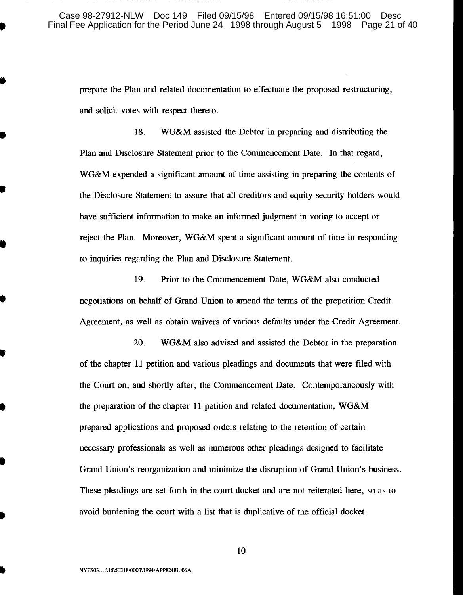prepare the Plan and related documentation to effectuate the proposed restructuring, and solicit votes with respect thereto.

18. WG&M assisted the Debtor in preparing and distributing the Plan and Disclosure Statement prior to the Commencement Date. In that regard, WG&M expended a significant amount of time assisting in preparing the contents of the Disclosure Statement to assure that all creditors and equity security holders would have sufficient information to make an informed judgment in voting to accept or reject the Plan. Moreover, WG&M spent a significant amount of time in responding to inquiries regarding the Plan and Disclosure Statement.

19. Prior to the Commencement Date, WG&M also conducted negotiations on behalf of Grand Union to amend the terms of the prepetition Credit Agreement, as well as obtain waivers of various defaults under the Credit Agreement.

20. WG&M also advised and assisted the Debtor in the preparation of the chapter 11 petition and various pleadings and documents that were filed with the Court on, and shortly after, the Commencement Date. Contemporaneously with the preparation of the chapter 11 petition and related documentation, WG&M prepared applications and proposed orders relating to the retention of certain necessary professionals as well as numerous other pleadings designed to facilitate Grand Union's reorganization and minimize the disruption of Grand Union's business. These pleadings are set forth in the court docket and are not reiterated here, so as to avoid burdening the court with a list that is duplicative of the official docket.

10

•

•

•

•

•

•

•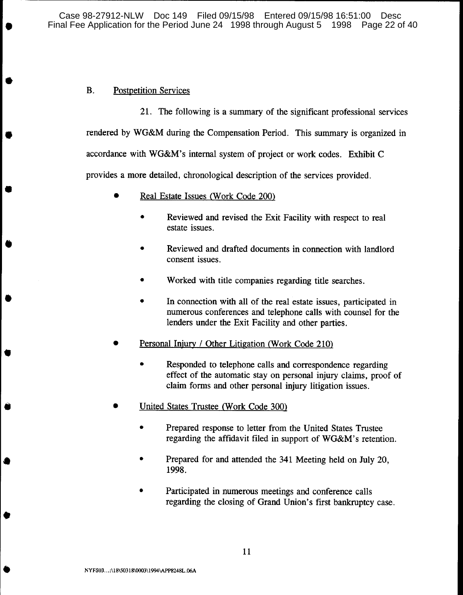Case 98-27912-NLW Doc 149 Filed 09/15/98 Entered 09/15/98 16:51:00 Desc Final Fee Application for the Period June 24 1998 through August 5 1998 Page 22 of 40

# B. Postpetition Services

•

•

•

•

•

•

•

•

•

•

21. The following is a summary of the significant professional services rendered by WG&M during the Compensation Period. This summary is organized in accordance with WG&M's internal system of project or work codes. Exhibit C provides a more detailed, chronological description of the services provided.

- Real Estate Issues (Work Code 200)
	- Reviewed and revised the Exit Facility with respect to real estate issues.
	- Reviewed and drafted documents in connection with landlord consent issues.
	- Worked with title companies regarding title searches.
	- In connection with all of the real estate issues, participated in numerous conferences and telephone calls with counsel for the lenders under the Exit Facility and other parties.
- Personal Injury / Other Litigation (Work Code 210)
	- Responded to telephone calls and correspondence regarding effect of the automatic stay on personal injury claims, proof of claim forms and other personal injury litigation issues.
- United States Trustee (Work Code 300)
	- Prepared response to letter from the United States Trustee regarding the affidavit filed in support of WG&M's retention.
	- Prepared for and attended the 341 Meeting held on July 20, 1998.
	- Participated in numerous meetings and conference calls regarding the closing of Grand Union's first bankruptcy case.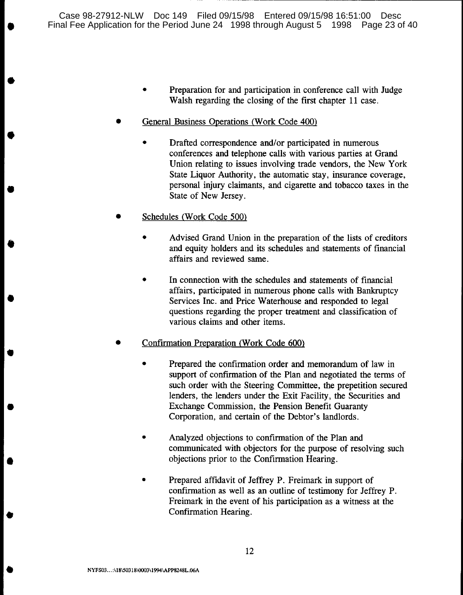• Preparation for and participation in conference call with Judge Walsh regarding the closing of the first chapter 11 case.

- - --------------------------------,

- General Business Operations (Work Code 400)
	- Drafted correspondence and/or participated in numerous conferences and telephone calls with various parties at Grand Union relating to issues involving trade vendors, the New York State Liquor Authority, the automatic stay, insurance coverage, personal injury claimants, and cigarette and tobacco taxes in the State of New Jersey.
- Schedules (Work Code 500)

•

•

•

•

•

•

•

•

•

- Advised Grand Union in the preparation of the lists of creditors and equity holders and its schedules and statements of financial affairs and reviewed same.
- In connection with the schedules and statements of financial affairs, participated in numerous phone calls with Bankruptcy Services Inc. and Price Waterhouse and responded to legal questions regarding the proper treatment and classification of various claims and other items.
- Confirmation Preparation (Work Code 600)
	- Prepared the confirmation order and memorandum of law in support of confirmation of the Plan and negotiated the terms of such order with the Steering Committee, the prepetition secured lenders, the lenders under the Exit Facility, the Securities and Exchange Commission, the Pension Benefit Guaranty Corporation, and certain of the Debtor's landlords.
	- Analyzed objections to confirmation of the Plan and communicated with objectors for the purpose of resolving such objections prior to the Confirmation Hearing.
	- Prepared affidavit of Jeffrey P. Freimark in support of confirmation as well as an outline of testimony for Jeffrey P. Freimark in the event of his participation as a witness at the Confirmation Hearing.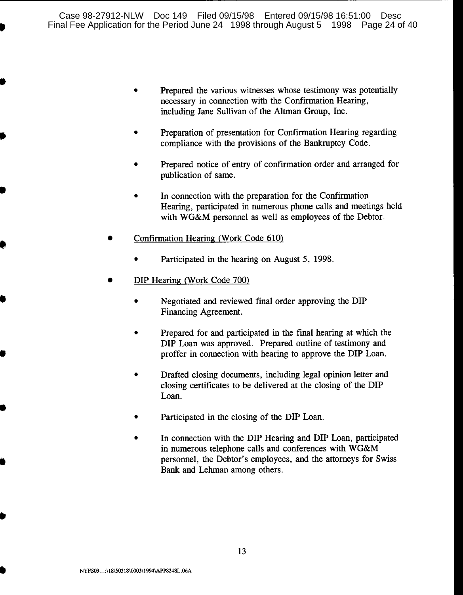- Prepared the various witnesses whose testimony was potentially necessary in connection with the Confirmation Hearing, including Jane Sullivan of the Altman Group, Inc.
- Preparation of presentation for Confirmation Hearing regarding compliance with the provisions of the Bankruptcy Code.
- Prepared notice of entry of confirmation order and arranged for publication of same.
- In connection with the preparation for the Confirmation Hearing, participated in numerous phone calls and meetings held with WG&M personnel as well as employees of the Debtor.
- Confirmation Hearing (Work Code 610)
	- Participated in the hearing on August 5, 1998.
- DIP Hearing (Work Code 700)

•

•

•

•

•

•

•

- Negotiated and reviewed final order approving the DIP Financing Agreement.
- Prepared for and participated in the final hearing at which the DIP Loan was approved. Prepared outline of testimony and proffer in connection with hearing to approve the DIP Loan.
- Drafted closing documents, including legal opinion letter and closing certificates to be delivered at the closing of the DIP Loan.
- Participated in the closing of the DIP Loan.
- In connection with the DIP Hearing and DIP Loan, participated in numerous telephone calls and conferences with WG&M personnel, the Debtor's employees, and the attorneys for Swiss Bank and Lehman among others.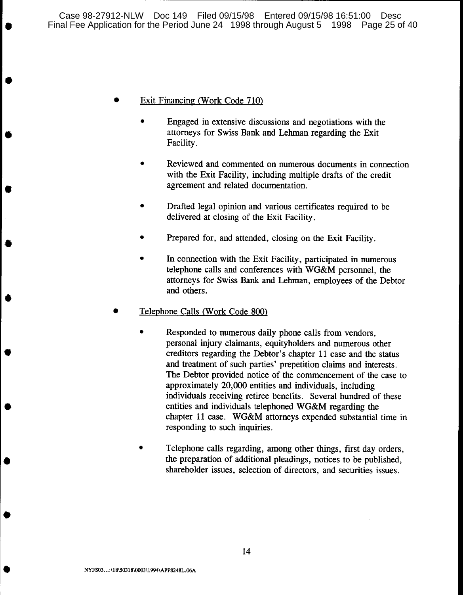# • Exit Financing (Work Code 710)

•

•

•

•

•

•

•

•

•

- Engaged in extensive discussions and negotiations with the attorneys for Swiss Bank and Lehman regarding the Exit Facility.
- Reviewed and commented on numerous documents in connection with the Exit Facility, including multiple drafts of the credit agreement and related documentation.
- Drafted legal opinion and various certificates required to be delivered at closing of the Exit Facility.
- Prepared for, and attended, closing on the Exit Facility.
- In connection with the Exit Facility, participated in numerous telephone calls and conferences with WG&M personnel, the attorneys for Swiss Bank and Lehman, employees of the Debtor and others.
- Telephone Calls (Work Code 800)
	- Responded to numerous daily phone calls from vendors, personal injury claimants, equityholders and numerous other creditors regarding the Debtor's chapter 11 case and the status and treatment of such parties' prepetition claims and interests. The Debtor provided notice of the commencement of the case to approximately 20,000 entities and individuals, including individuals receiving retiree benefits. Several hundred of these entities and individuals telephoned WG&M regarding the chapter 11 case. WG&M attorneys expended substantial time in responding to such inquiries.
	- Telephone calls regarding, among other things, first day orders, the preparation of additional pleadings, notices to be published, shareholder issues, selection of directors, and securities issues.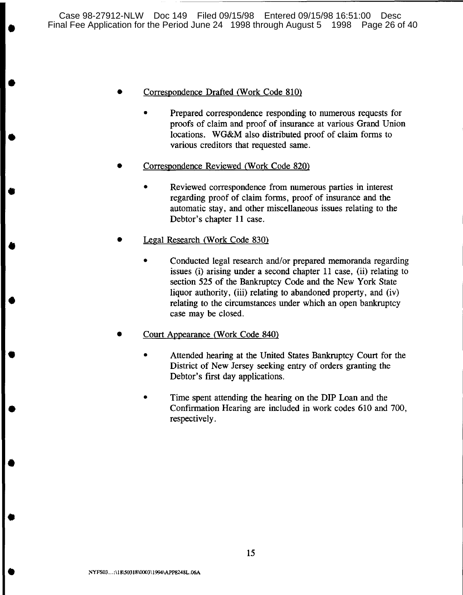• Correspondence Drafted (Work Code 810)

•

•

•

•

•

•

•

•

•

- Prepared correspondence responding to numerous requests for proofs of claim and proof of insurance at various Grand Union locations. WG&M also distributed proof of claim forms to various creditors that requested same.
- Correspondence Reviewed (Work Code 820)
	- Reviewed correspondence from numerous parties in interest regarding proof of claim forms, proof of insurance and the automatic stay, and other miscellaneous issues relating to the Debtor's chapter 11 case.
- Legal Research (Work Code 830)
	- Conducted legal research and/or prepared memoranda regarding issues (i) arising under a second chapter 11 case, (ii) relating to section 525 of the Bankruptcy Code and the New York State liquor authority, (iii) relating to abandoned property, and (iv) relating to the circumstances under which an open bankruptcy case may be closed.
- Court Appearance (Work Code 840)
	- Attended hearing at the United States Bankruptcy Court for the District of New Jersey seeking entry of orders granting the Debtor's first day applications.
	- Time spent attending the hearing on the DIP Loan and the Confirmation Hearing are included in work codes 610 and 700, respectively.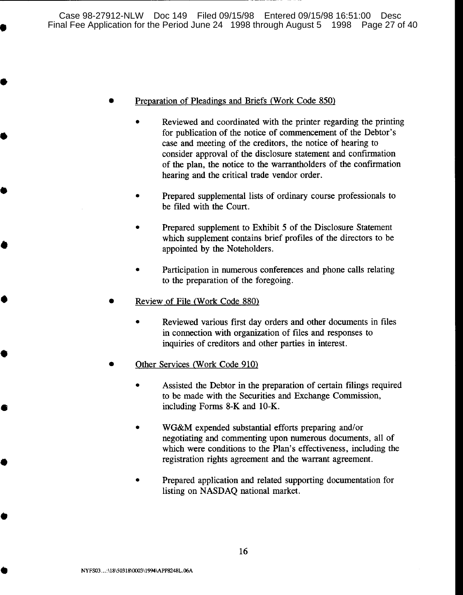#### • Preparation of Pleadings and Briefs (Work Code 850)

•

•

•

•

•

•

•

•

•

- Reviewed and coordinated with the printer regarding the printing for publication of the notice of commencement of the Debtor's case and meeting of the creditors, the notice of hearing to consider approval of the disclosure statement and confirmation of the plan, the notice to the warrantholders of the confirmation hearing and the critical trade vendor order.
- Prepared supplemental lists of ordinary course professionals to be filed with the Court.
- Prepared supplement to Exhibit 5 of the Disclosure Statement which supplement contains brief profiles of the directors to be appointed by the Noteholders.
- Participation in numerous conferences and phone calls relating to the preparation of the foregoing.
- Review of File (Work Code 880)
	- Reviewed various first day orders and other documents in files in connection with organization of files and responses to inquiries of creditors and other parties in interest.
- Other Services (Work Code 910)
	- Assisted the Debtor in the preparation of certain filings required to be made with the Securities and Exchange Commission, including Forms 8-K and 10-K.
	- WG&M expended substantial efforts preparing and/or negotiating and commenting upon numerous documents, all of which were conditions to the Plan's effectiveness, including the registration rights agreement and the warrant agreement.
	- Prepared application and related supporting documentation for listing on NASDAQ national market.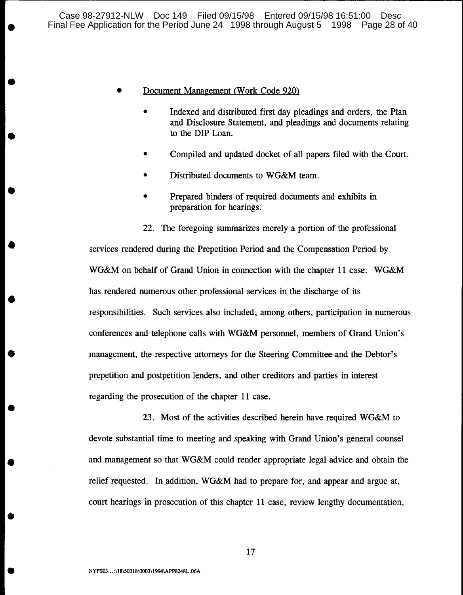## • Document Management (Work Code 920)

•

•

•

•

•

•

•

•

•

•

- Indexed and distributed first day pleadings and orders, the Plan and Disclosure Statement, and pleadings and documents relating to the DIP Loan.
- Compiled and updated docket of all papers filed with the Court.
- Distributed documents to WG&M team.
- Prepared binders of required documents and exhibits in preparation for hearings.

22. The foregoing summarizes merely a portion of the professional services rendered during the Prepetition Period and the Compensation Period by WG&M on behalf of Grand Union in connection with the chapter 11 case. WG&M has rendered numerous other professional services in the discharge of its responsibilities. Such services also included, among others, participation in numerous conferences and telephone calls with WG&M personnel, members of Grand Union's management, the respective attorneys for the Steering Committee and the Debtor's prepetition and postpetition lenders, and other creditors and parties in interest regarding the prosecution of the chapter 11 case.

23. Most of the activities described herein have required WG&M to devote substantial time to meeting and speaking with Grand Union's general counsel and management so that WG&M could render appropriate legal advice and obtain the relief requested. In addition, WG&M had to prepare for, and appear and argue at, court hearings in prosecution of this chapter 11 case, review lengthy documentation,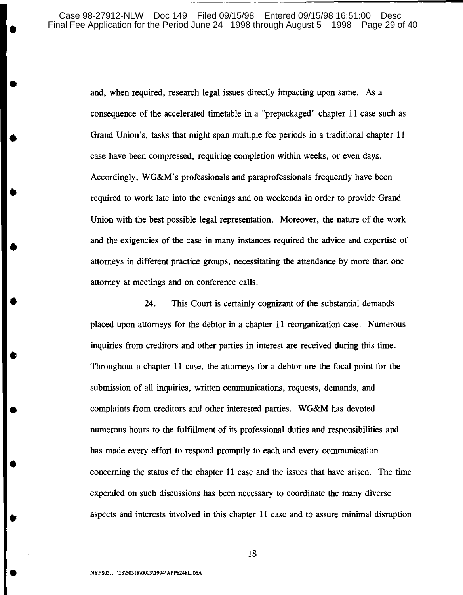and, when required, research legal issues directly impacting upon same. As a consequence of the accelerated timetable in a "prepackaged" chapter 11 case such as Grand Union's, tasks that might span multiple fee periods in a traditional chapter 11 case have been compressed, requiring completion within weeks, or even days. Accordingly, WG&M's professionals and paraprofessionals frequently have been required to work late into the evenings and on weekends in order to provide Grand Union with the best possible legal representation. Moreover, the nature of the work and the exigencies of the case in many instances required the advice and expertise of attorneys in different practice groups, necessitating the attendance by more than one attorney at meetings and on conference calls.

24. This Court is certainly cognizant of the substantial demands placed upon attorneys for the debtor in a chapter 11 reorganization case. Numerous inquiries from creditors and other parties in interest are received during this time. Throughout a chapter **11** case, the attorneys for a debtor are the focal point for the submission of all inquiries, written communications, requests, demands, and complaints from creditors and other interested parties. WG&M has devoted numerous hours to the fulfillment of its professional duties and responsibilities and has made every effort to respond promptly to each and every communication concerning the status of the chapter 11 case and the issues that have arisen. The time expended on such discussions has been necessary to coordinate the many diverse aspects and interests involved in this chapter 11 case and to assure minimal disruption

18

•

•

•

•

•

•

•

•

•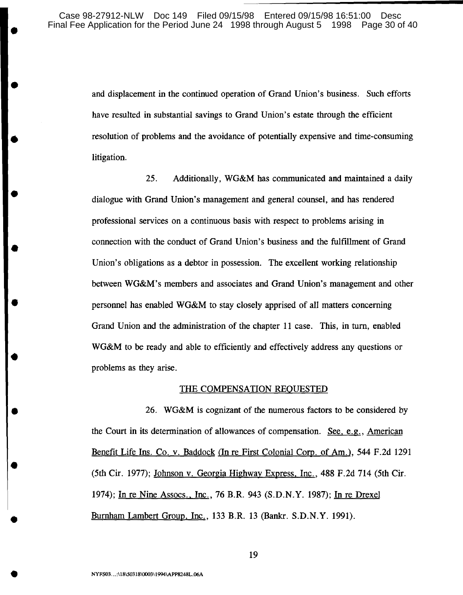and displacement in the continued operation of Grand Union's business. Such efforts have resulted in substantial savings to Grand Union's estate through the efficient resolution of problems and the avoidance of potentially expensive and time-consuming litigation.

25. Additionally, WG&M has communicated and maintained a daily dialogue with Grand Union's management and general counsel, and has rendered professional services on a continuous basis with respect to problems arising in connection with the conduct of Grand Union's business and the fulfillment of Grand Union's obligations as a debtor in possession. The excellent working relationship between WG&M's members and associates and Grand Union's management and other personnel has enabled WG&M to stay closely apprised of all matters concerning Grand Union and the administration of the chapter 11 case. This, in tum, enabled WG&M to be ready and able to efficiently and effectively address any questions or problems as they arise.

#### THE COMPENSATION REQUESTED

26. WG&M is cognizant of the numerous factors to be considered by the Court in its determination of allowances of compensation. See, e.g., American Benefit Life Ins. Co. v. Baddock (In re First Colonial Corp. of Am.), 544 F.2d 1291 (5th Cir. 1977); Johnson v. Georgia Highway Express, Inc., 488 F.2d 714 (5th Cir. 1974); In re Nine Assocs., Inc., 76 B.R. 943 (S.D.N.Y. 1987); In re Drexel Burnham Lambert Group, Inc., 133 B.R. 13 (Bankr. S.D.N.Y. 1991).

•

•

•

•

•

•

•

•

•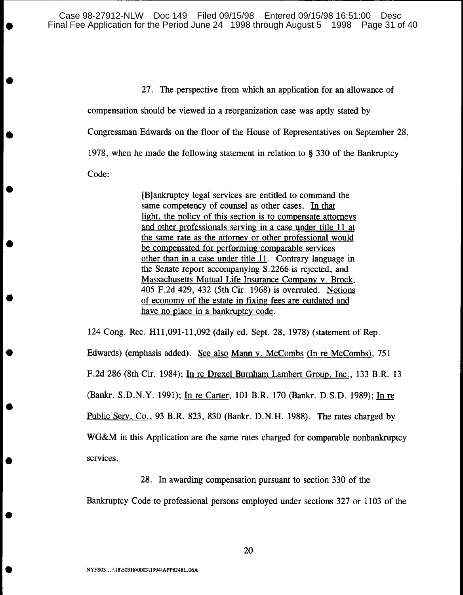Case 98-27912-NLW Doc 149 Filed 09/15/98 Entered 09/15/98 16:51:00 Desc Final Fee Application for the Period June 24 1998 through August 5 1998 Page 31 of 40

> 27. The perspective from which an application for an allowance of compensation should be viewed in a reorganization case was aptly stated by Congressman Edwards on the floor of the House of Representatives on September 28, 1978, when he made the following statement in relation to § 330 of the Bankruptcy Code:

> > [B]ankruptcy legal services are entitled to command the same competency of counsel as other cases. In that light. the policy of this section is to compensate attorneys and other professionals serving in a case under title 11 at the same rate as the attorney or other professional would be compensated for performing comparable services other than in a case under title 11. Contrary language in the Senate report accompanying S.2266 is rejected, and Massachusetts Mutual Life Insurance Company v. Brock, 405 F.2d 429, 432 (5th Cir. 1968) is overruled. Notions of economy of the estate in fixing fees are outdated and have no place in a bankruptcy code.

124 Cong. Rec. H11,091-11,092 (daily ed. Sept. 28, 1978) (statement of Rep. Edwards) (emphasis added). See also Mann V. McCombs (In re McCombs), 751 F.2d 286 (8th Cir. 1984); In re Drexel Burnham Lambert Group. Inc., 133 B.R. 13 (Bankr. S.D.N.Y. 1991); In re Carter, 101 B.R. 170 (Bankr. D.S.D. 1989); In re Public Serv. Co., 93 B.R. 823, 830 (Bankr. D.N.H. 1988). The rates charged by WG&M in this Application are the same rates charged for comparable nonbankruptcy services.

# 28. In awarding compensation pursuant to section 330 of the

Bankruptcy Code to professional persons employed under sections 327 or 1103 of the

•

•

•

•

•

•

•

•

•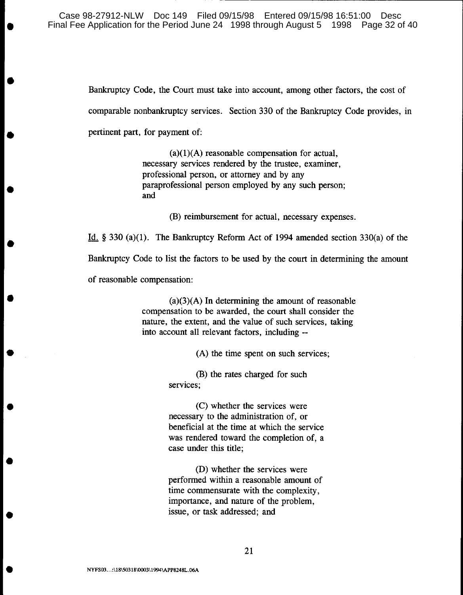Case 98-27912-NLW Doc 149 Filed 09/15/98 Entered 09/15/98 16:51:00 Desc Final Fee Application for the Period June 24 1998 through August 5 1998 Page 32 of 40

> Bankruptcy Code, the Court must take into account, among other factors, the cost of comparable nonbankruptcy services. Section 330 of the Bankruptcy Code provides, in pertinent part, for payment of:

> > $(a)(1)(A)$  reasonable compensation for actual, necessary services rendered by the trustee, examiner, professional person, or attorney and by any paraprofessional person employed by any such person; and

> > > (B) reimbursement for actual, necessary expenses.

Id. § 330 (a)(l). The Bankruptcy Reform Act of 1994 amended section 330(a) of the

Bankruptcy Code to list the factors to be used by the court in determining the amount

of reasonable compensation:

•

•

•

•

•

•

•

•

•

•

 $(a)(3)(A)$  In determining the amount of reasonable compensation to be awarded, the court shall consider the nature, the extent, and the value of such services, taking into account all relevant factors, including --

(A) the time spent on such services;

(B) the rates charged for such services;

(C) whether the services were necessary to the administration of, or beneficial at the time at which the service was rendered toward the completion of, a case under this title;

(D) whether the services were performed within a reasonable amount of time commensurate with the complexity, importance, and nature of the problem, issue, or task addressed; and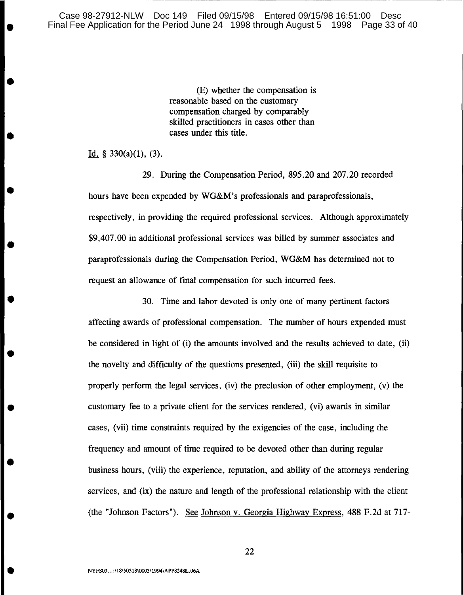Case 98-27912-NLW Doc 149 Filed 09/15/98 Entered 09/15/98 16:51:00 Desc Final Fee Application for the Period June 24 1998 through August 5 1998 Page 33 of 40

> (E) whether the compensation is reasonable based on the customary compensation charged by comparably skilled practitioners in cases other than cases under this title.

Id.  $§$  330(a)(1), (3).

•

•

•

•

•

•

•

•

•

•

29. During the Compensation Period, 895.20 and 207.20 recorded hours have been expended by WG&M's professionals and paraprofessionals, respectively, in providing the required professional services. Although approximately \$9,407.00 in additional professional services was billed by summer associates and paraprofessionals during the Compensation Period, WG&M has determined not to request an allowance of final compensation for such incurred fees.

30. Time and labor devoted is only one of many pertinent factors affecting awards of professional compensation. The number of hours expended must be considered in light of (i) the amounts involved and the results achieved to date, (ii) the novelty and difficulty of the questions presented, (iii) the skill requisite to properly perform the legal services, (iv) the preclusion of other employment, (v) the customary fee to a private client for the services rendered, (vi) awards in similar cases, (vii) time constraints required by the exigencies of the case, including the frequency and amount of time required to be devoted other than during regular business hours, (viii) the experience, reputation, and ability of the attorneys rendering services, and (ix) the nature and length of the professional relationship with the client (the "Johnson Factors"). See Johnson v. Georgia Highway Express, 488 F.2d at 717-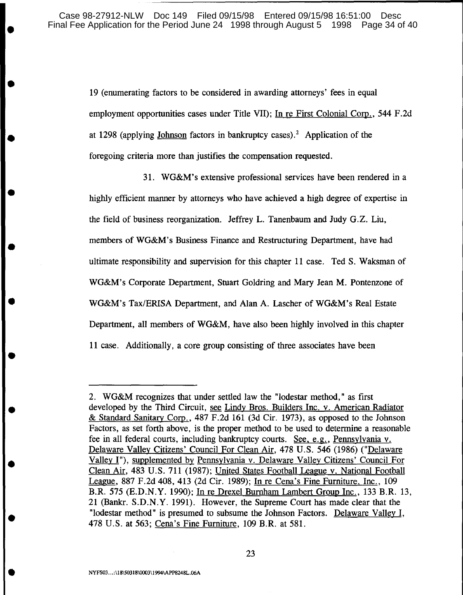19 (enumerating factors to be considered in awarding attorneys' fees in equal employment opportunities cases under Title VII); In re First Colonial Corp., 544 F.2d at 1298 (applying Johnson factors in bankruptcy cases).<sup>2</sup> Application of the foregoing criteria more than justifies the compensation requested.

31. WG&M's extensive professional services have been rendered in a highly efficient manner by attorneys who have achieved a high degree of expertise in the field of business reorganization. Jeffrey L. Tanenbaum and Judy G.Z. Liu, members of WG&M's Business Finance and Restructuring Department, have had ultimate responsibility and supervision for this chapter 11 case. Ted S. Waksman of WG&M's Corporate Department, Stuart Goldring and Mary Jean M. Pontenzone of WG&M's Tax/ERISA Department, and Alan A. Lascher of WG&M's Real Estate Department, all members of WG&M, have also been highly involved in this chapter 11 case. Additionally, a core group consisting of three associates have been

•

•

•

•

•

•

•

•

•

<sup>2.</sup> WG&M recognizes that under settled law the "lodestar method," as first developed by the Third Circuit, see Lindy Bros. Builders Inc. v. American Radiator & Standard Sanitary Corp., 487 F.2d 161 (3d Cir. 1973), as opposed to the Johnson Factors, as set forth above, is the proper method to be used to determine a reasonable fee in all federal courts, including bankruptcy courts. See, e.g., Pennsylvania v. Delaware Valley Citizens' Council For Clean Air, 478 U.S. 546 (1986) ("Delaware Valley I"), supplemented by Pennsylvania v. Delaware Valley Citizens' Council For Clean Air, 483 U.S. 711 (1987); United States Football League v. National Football League, 887 F.2d 408,413 (2d Cir. 1989); In re Cena's Fine Furniture, Inc., 109 B.R. 575 (E.D.N.Y. 1990); In re Drexel Burnham Lambert Group Inc., 133 B.R. 13, 21 (Bankr. S.D.N.Y. 1991). However, the Supreme Court has made clear that the "lodestar method" is presumed to subsume the Johnson Factors. Delaware Valley I, 478 U.S. at 563; Cena's Fine Furniture, 109 B.R. at 581.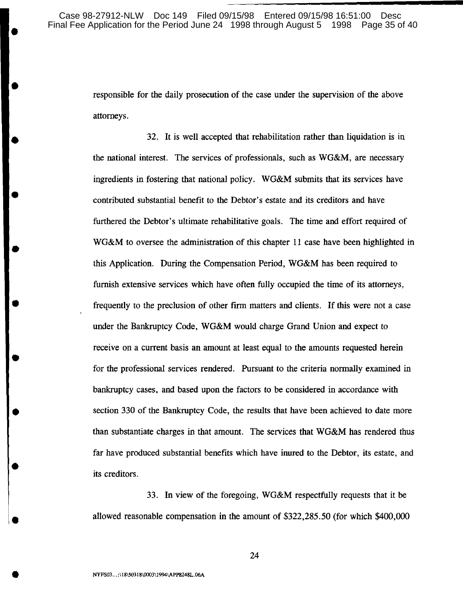•

•

•

•

•

•

•

•

•

•

•

responsible for the daily prosecution of the case under the supervision of the above attorneys.

32. It is well accepted that rehabilitation rather than liquidation is in the national interest. The services of professionals, such as WG&M, are necessary ingredients in fostering that national policy. WG&M submits that its services have contributed substantial benefit to the Debtor's estate and its creditors and have furthered the Debtor's ultimate rehabilitative goals. The time and effort required of WG&M to oversee the administration of this chapter 11 case have been highlighted in this Application. During the Compensation Period, WG&M has been required to furnish extensive services which have often fully occupied the time of its attorneys, frequently to the preclusion of other firm matters and clients. If this were not a case under the Bankruptcy Code, WG&M would charge Grand Union and expect to receive on a current basis an amount at least equal to the amounts requested herein for the professional services rendered. Pursuant to the criteria normally examined in bankruptcy cases, and based upon the factors to be considered in accordance with section 330 of the Bankruptcy Code, the results that have been achieved to date more than substantiate charges in that amount. The services that WG&M has rendered thus far have produced substantial benefits which have inured to the Debtor, its estate, and its creditors.

33. In view of the foregoing, WG&M respectfully requests that it be allowed reasonable compensation in the amount of \$322,285.50 (for which \$400,000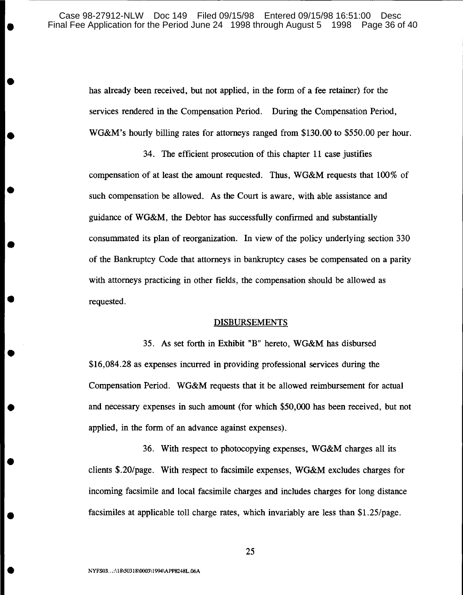has already been received, but not applied, in the form of a fee retainer) for the services rendered in the Compensation Period. During the Compensation Period, WG&M's hourly billing rates for attorneys ranged from \$130.00 to \$550.00 per hour.

34. The efficient prosecution of this chapter 11 case justifies compensation of at least the amount requested. Thus, WG&M requests that 100% of such compensation be allowed. As the Court is aware, with able assistance and guidance of WG&M, the Debtor has successfully confirmed and substantially consummated its plan of reorganization. In view of the policy underlying section 330 of the Bankruptcy Code that attorneys in bankruptcy cases be compensated on a parity with attorneys practicing in other fields, the compensation should be allowed as requested.

#### **DISBURSEMENTS**

35. As set forth in Exhibit "B" hereto, WG&M has disbursed \$16,084.28 as expenses incurred in providing professional services during the Compensation Period. WG&M requests that it be allowed reimbursement for actual and necessary expenses in such amount (for which \$50,000 has been received, but not applied, in the form of an advance against expenses).

36. With respect to photocopying expenses, WG&M charges all its clients \$.20/page. With respect to facsimile expenses, WG&M excludes charges for incoming facsimile and local facsimile charges and includes charges for long distance facsimiles at applicable toll charge rates, which invariably are less than \$1.25/page.

•

•

•

•

•

•

•

•

•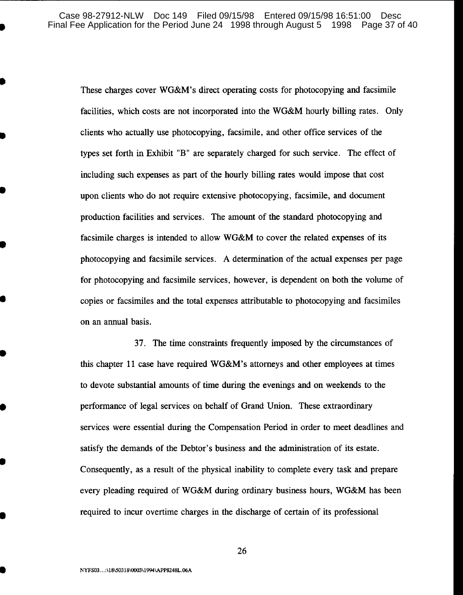These charges cover WG&M's direct operating costs for photocopying and facsimile facilities, which costs are not incorporated into the WG&M hourly billing rates. Only clients who actually use photocopying, facsimile, and other office services of the types set forth in Exhibit "B" are separately charged for such service. The effect of including such expenses as part of the hourly billing rates would impose that cost upon clients who do not require extensive photocopying, facsimile, and document production facilities and services. The amount of the standard photocopying and facsimile charges is intended to allow WG&M to cover the related expenses of its photocopying and facsimile services. A determination of the actual expenses per page for photocopying and facsimile services, however, is dependent on both the volume of copies or facsimiles and the total expenses attributable to photocopying and facsimiles on an annual basis.

37. The time constraints frequently imposed by the circumstances of this chapter 11 case have required WG&M's attorneys and other employees at times to devote substantial amounts of time during the evenings and on weekends to the performance of legal services on behalf of Grand Union. These extraordinary services were essential during the Compensation Period in order to meet deadlines and satisfy the demands of the Debtor's business and the administration of its estate. Consequently, as a result of the physical inability to complete every task and prepare every pleading required of WG&M during ordinary business hours, WG&M has been required to incur overtime charges in the discharge of certain of its professional

26

•

•

•

•

•

•

•

•

•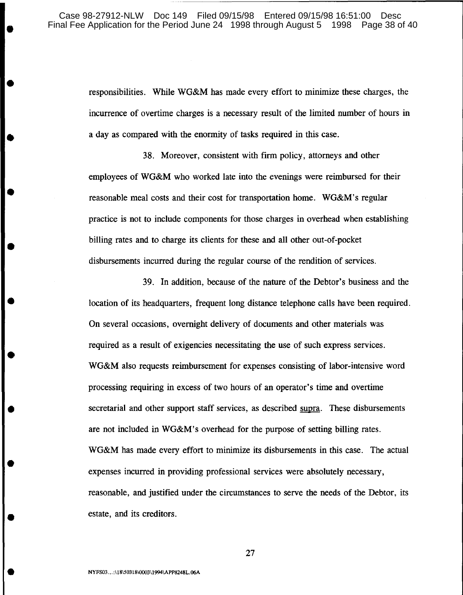responsibilities. While WG&M has made every effort to minimize these charges, the incurrence of overtime charges is a necessary result of the limited number of hours in a day as compared with the enormity of tasks required in this case.

38. Moreover, consistent with firm policy, attorneys and other employees of WG&M who worked late into the evenings were reimbursed for their reasonable meal costs and their cost for transportation home. WG&M's regular practice is not to include components for those charges in overhead when establishing billing rates and to charge its clients for these and all other out-of-pocket disbursements incurred during the regular course of the rendition of services.

39. In addition, because of the nature of the Debtor's business and the location of its headquarters, frequent long distance telephone calls have been required. On several occasions, overnight delivery of documents and other materials was required as a result of exigencies necessitating the use of such express services. WG&M also requests reimbursement for expenses consisting of labor-intensive word processing requiring in excess of two hours of an operator's time and overtime secretarial and other support staff services, as described supra. These disbursements are not included in WG&M's overhead for the purpose of setting billing rates. WG&M has made every effort to minimize its disbursements in this case. The actual expenses incurred in providing professional services were absolutely necessary, reasonable, and justified under the circumstances to serve the needs of the Debtor, its estate, and its creditors.

•

•

•

•

•

•

•

•

•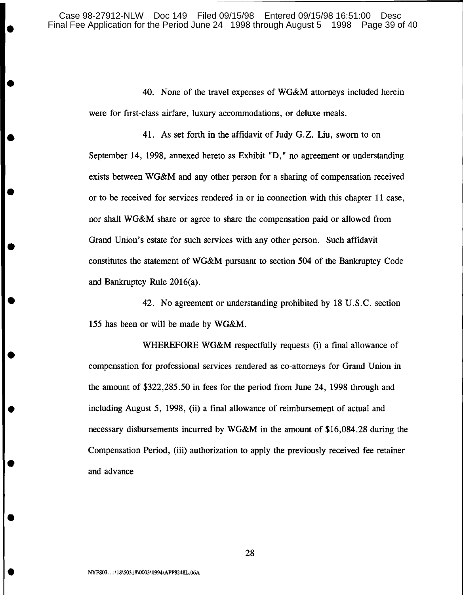40. None of the travel expenses of WG&M attorneys included herein were for first-class airfare, luxury accommodations, or deluxe meals.

41. As set forth in the affidavit of Judy G.Z. Liu, sworn to on September 14, 1998, annexed hereto as Exhibit "D," no agreement or understanding exists between WG&M and any other person for a sharing of compensation received or to be received for services rendered in or in connection with this chapter 11 case, nor shall WG&M share or agree to share the compensation paid or allowed from Grand Union's estate for such services with any other person. Such affidavit constitutes the statement of WG&M pursuant to section 504 of the Bankruptcy Code and Bankruptcy Rule 2016(a).

42. No agreement or understanding prohibited by 18 U.S.C. section 155 has been or will be made by WG&M.

WHEREFORE WG&M respectfully requests (i) a final allowance of compensation for professional services rendered as co-attorneys for Grand Union in the amount of \$322,285.50 in fees for the period from June 24, 1998 through and including August 5, 1998, (ii) a final allowance of reimbursement of actual and necessary disbursements incurred by WG&M in the amount of \$16,084.28 during the Compensation Period, (iii) authorization to apply the previously received fee retainer and advance

•

•

•

•

•

•

•

•

•